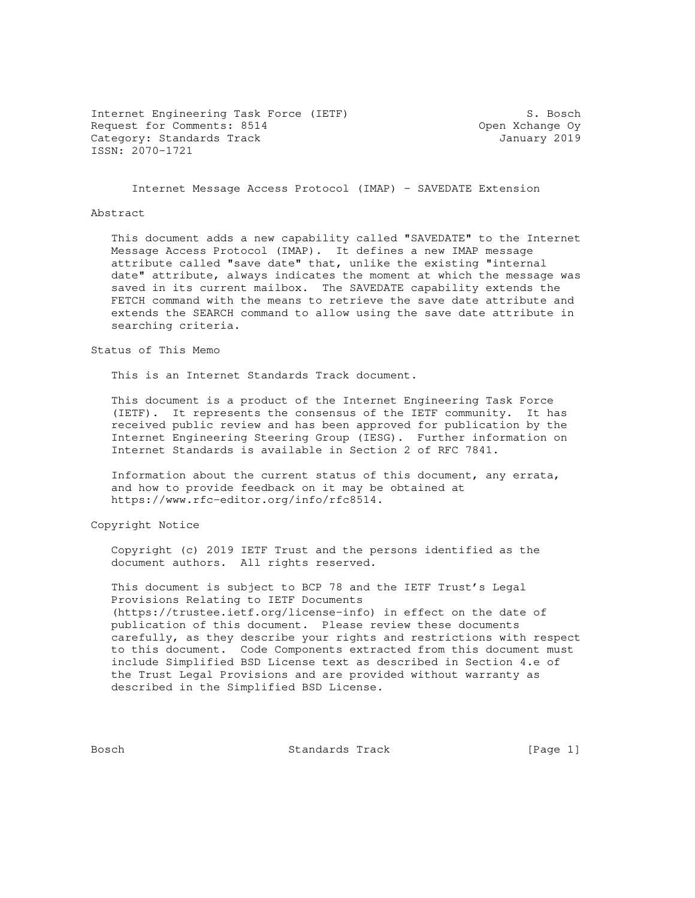Internet Engineering Task Force (IETF) S. Bosch Request for Comments: 8514 **Comments: 8514** Open Xchange Oy Category: Standards Track January 2019 ISSN: 2070-1721

Internet Message Access Protocol (IMAP) - SAVEDATE Extension

#### Abstract

 This document adds a new capability called "SAVEDATE" to the Internet Message Access Protocol (IMAP). It defines a new IMAP message attribute called "save date" that, unlike the existing "internal date" attribute, always indicates the moment at which the message was saved in its current mailbox. The SAVEDATE capability extends the FETCH command with the means to retrieve the save date attribute and extends the SEARCH command to allow using the save date attribute in searching criteria.

Status of This Memo

This is an Internet Standards Track document.

 This document is a product of the Internet Engineering Task Force (IETF). It represents the consensus of the IETF community. It has received public review and has been approved for publication by the Internet Engineering Steering Group (IESG). Further information on Internet Standards is available in Section 2 of RFC 7841.

 Information about the current status of this document, any errata, and how to provide feedback on it may be obtained at https://www.rfc-editor.org/info/rfc8514.

Copyright Notice

 Copyright (c) 2019 IETF Trust and the persons identified as the document authors. All rights reserved.

 This document is subject to BCP 78 and the IETF Trust's Legal Provisions Relating to IETF Documents (https://trustee.ietf.org/license-info) in effect on the date of publication of this document. Please review these documents carefully, as they describe your rights and restrictions with respect to this document. Code Components extracted from this document must include Simplified BSD License text as described in Section 4.e of the Trust Legal Provisions and are provided without warranty as described in the Simplified BSD License.

Bosch Standards Track [Page 1]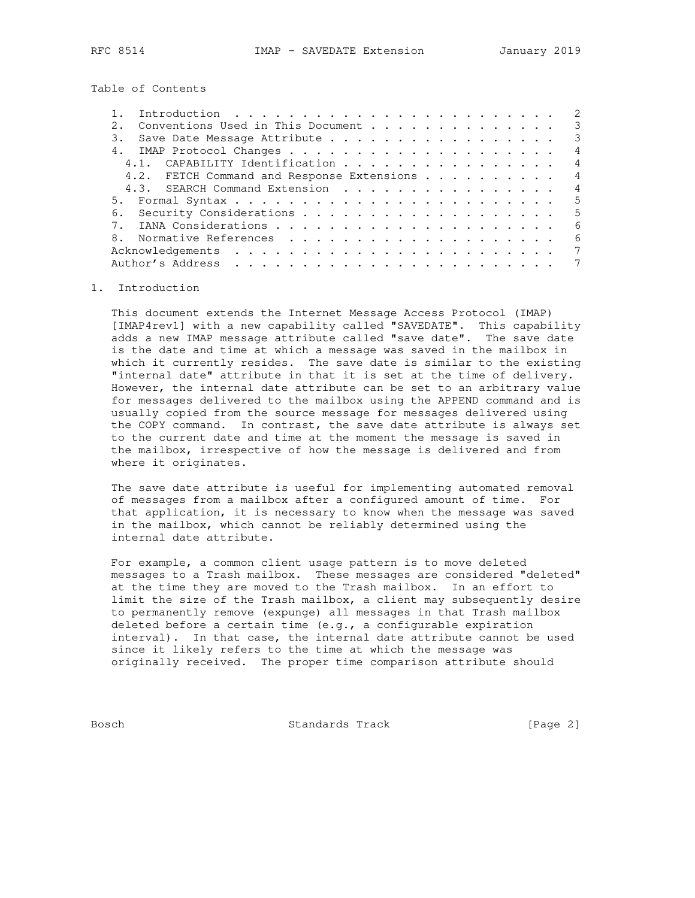Table of Contents

| Introduction $\ldots \ldots \ldots \ldots \ldots \ldots \ldots \ldots$ |  |  | 2              |
|------------------------------------------------------------------------|--|--|----------------|
| Conventions Used in This Document                                      |  |  | $\mathcal{E}$  |
| Save Date Message Attribute<br>3.                                      |  |  | $\mathcal{E}$  |
|                                                                        |  |  | 4              |
| 4.1. CAPABILITY Identification                                         |  |  | $\overline{4}$ |
| 4.2. FETCH Command and Response Extensions                             |  |  | 4              |
| 4.3. SEARCH Command Extension                                          |  |  | $\overline{4}$ |
|                                                                        |  |  | 5              |
|                                                                        |  |  | 5              |
|                                                                        |  |  | 6              |
| 8.                                                                     |  |  | - 6            |
|                                                                        |  |  | 7              |
|                                                                        |  |  |                |

### 1. Introduction

 This document extends the Internet Message Access Protocol (IMAP) [IMAP4rev1] with a new capability called "SAVEDATE". This capability adds a new IMAP message attribute called "save date". The save date is the date and time at which a message was saved in the mailbox in which it currently resides. The save date is similar to the existing "internal date" attribute in that it is set at the time of delivery. However, the internal date attribute can be set to an arbitrary value for messages delivered to the mailbox using the APPEND command and is usually copied from the source message for messages delivered using the COPY command. In contrast, the save date attribute is always set to the current date and time at the moment the message is saved in the mailbox, irrespective of how the message is delivered and from where it originates.

 The save date attribute is useful for implementing automated removal of messages from a mailbox after a configured amount of time. For that application, it is necessary to know when the message was saved in the mailbox, which cannot be reliably determined using the internal date attribute.

 For example, a common client usage pattern is to move deleted messages to a Trash mailbox. These messages are considered "deleted" at the time they are moved to the Trash mailbox. In an effort to limit the size of the Trash mailbox, a client may subsequently desire to permanently remove (expunge) all messages in that Trash mailbox deleted before a certain time (e.g., a configurable expiration interval). In that case, the internal date attribute cannot be used since it likely refers to the time at which the message was originally received. The proper time comparison attribute should

Bosch **Standards Track** [Page 2]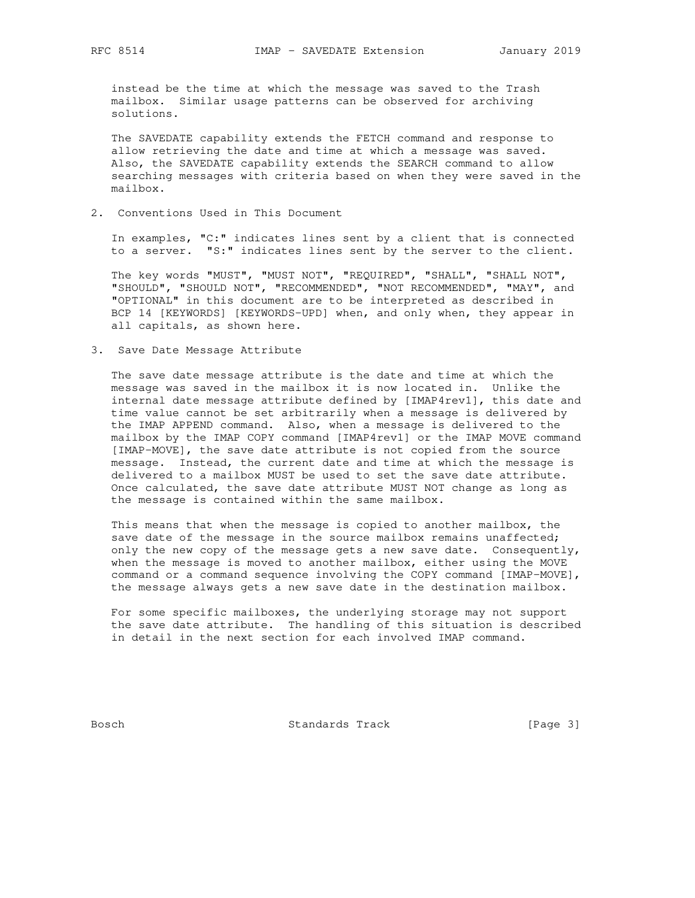instead be the time at which the message was saved to the Trash mailbox. Similar usage patterns can be observed for archiving solutions.

 The SAVEDATE capability extends the FETCH command and response to allow retrieving the date and time at which a message was saved. Also, the SAVEDATE capability extends the SEARCH command to allow searching messages with criteria based on when they were saved in the mailbox.

2. Conventions Used in This Document

 In examples, "C:" indicates lines sent by a client that is connected to a server. "S:" indicates lines sent by the server to the client.

 The key words "MUST", "MUST NOT", "REQUIRED", "SHALL", "SHALL NOT", "SHOULD", "SHOULD NOT", "RECOMMENDED", "NOT RECOMMENDED", "MAY", and "OPTIONAL" in this document are to be interpreted as described in BCP 14 [KEYWORDS] [KEYWORDS-UPD] when, and only when, they appear in all capitals, as shown here.

3. Save Date Message Attribute

 The save date message attribute is the date and time at which the message was saved in the mailbox it is now located in. Unlike the internal date message attribute defined by [IMAP4rev1], this date and time value cannot be set arbitrarily when a message is delivered by the IMAP APPEND command. Also, when a message is delivered to the mailbox by the IMAP COPY command [IMAP4rev1] or the IMAP MOVE command [IMAP-MOVE], the save date attribute is not copied from the source message. Instead, the current date and time at which the message is delivered to a mailbox MUST be used to set the save date attribute. Once calculated, the save date attribute MUST NOT change as long as the message is contained within the same mailbox.

 This means that when the message is copied to another mailbox, the save date of the message in the source mailbox remains unaffected; only the new copy of the message gets a new save date. Consequently, when the message is moved to another mailbox, either using the MOVE command or a command sequence involving the COPY command [IMAP-MOVE], the message always gets a new save date in the destination mailbox.

 For some specific mailboxes, the underlying storage may not support the save date attribute. The handling of this situation is described in detail in the next section for each involved IMAP command.

Bosch Standards Track [Page 3]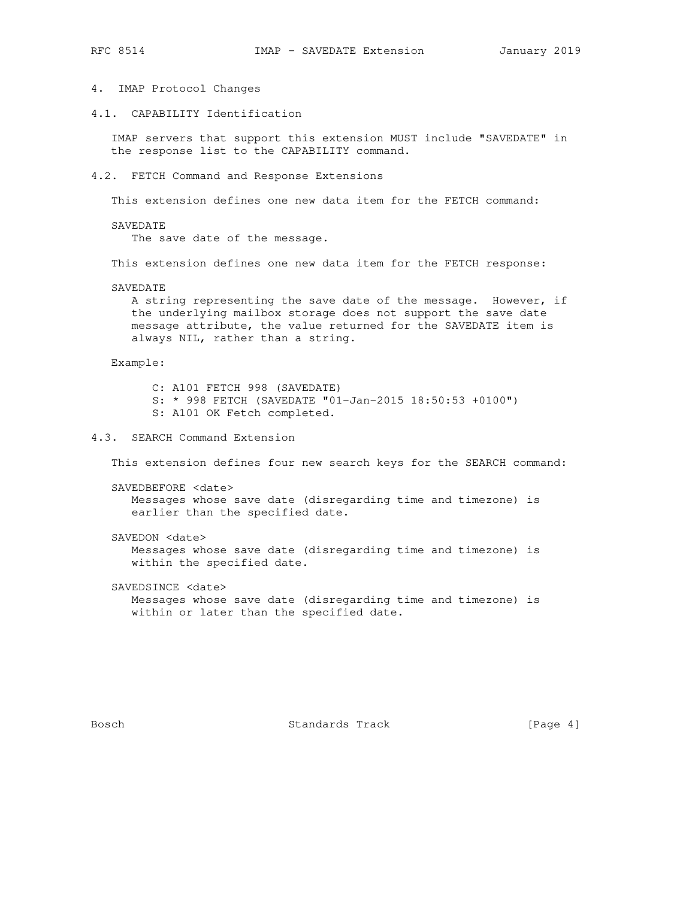- 
- 4. IMAP Protocol Changes
- 4.1. CAPABILITY Identification

 IMAP servers that support this extension MUST include "SAVEDATE" in the response list to the CAPABILITY command.

4.2. FETCH Command and Response Extensions

This extension defines one new data item for the FETCH command:

SAVEDATE

The save date of the message.

This extension defines one new data item for the FETCH response:

SAVEDATE

 A string representing the save date of the message. However, if the underlying mailbox storage does not support the save date message attribute, the value returned for the SAVEDATE item is always NIL, rather than a string.

Example:

 C: A101 FETCH 998 (SAVEDATE) S: \* 998 FETCH (SAVEDATE "01-Jan-2015 18:50:53 +0100") S: A101 OK Fetch completed.

4.3. SEARCH Command Extension

This extension defines four new search keys for the SEARCH command:

 SAVEDBEFORE <date> Messages whose save date (disregarding time and timezone) is earlier than the specified date.

SAVEDON <date>

 Messages whose save date (disregarding time and timezone) is within the specified date.

SAVEDSINCE <date>

 Messages whose save date (disregarding time and timezone) is within or later than the specified date.

Bosch Standards Track [Page 4]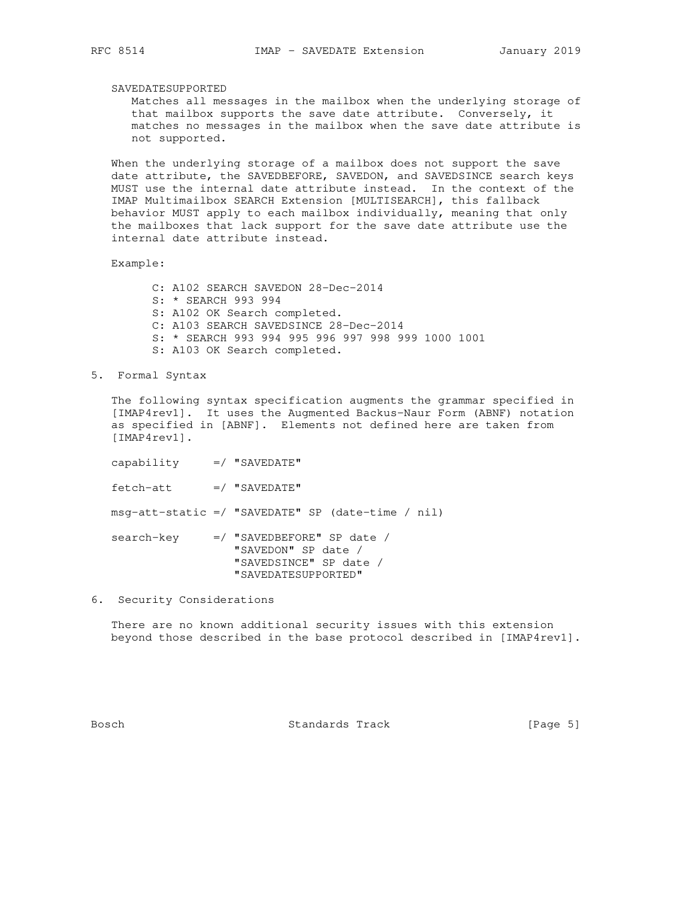SAVEDATESUPPORTED

 Matches all messages in the mailbox when the underlying storage of that mailbox supports the save date attribute. Conversely, it matches no messages in the mailbox when the save date attribute is not supported.

 When the underlying storage of a mailbox does not support the save date attribute, the SAVEDBEFORE, SAVEDON, and SAVEDSINCE search keys MUST use the internal date attribute instead. In the context of the IMAP Multimailbox SEARCH Extension [MULTISEARCH], this fallback behavior MUST apply to each mailbox individually, meaning that only the mailboxes that lack support for the save date attribute use the internal date attribute instead.

Example:

 C: A102 SEARCH SAVEDON 28-Dec-2014 S: \* SEARCH 993 994 S: A102 OK Search completed. C: A103 SEARCH SAVEDSINCE 28-Dec-2014 S: \* SEARCH 993 994 995 996 997 998 999 1000 1001 S: A103 OK Search completed.

5. Formal Syntax

 The following syntax specification augments the grammar specified in [IMAP4rev1]. It uses the Augmented Backus-Naur Form (ABNF) notation as specified in [ABNF]. Elements not defined here are taken from [IMAP4rev1].

capability =/ "SAVEDATE"

fetch-att =/ "SAVEDATE"

msg-att-static =/ "SAVEDATE" SP (date-time / nil)

 search-key =/ "SAVEDBEFORE" SP date / "SAVEDON" SP date / "SAVEDSINCE" SP date / "SAVEDATESUPPORTED"

6. Security Considerations

 There are no known additional security issues with this extension beyond those described in the base protocol described in [IMAP4rev1].

Bosch Standards Track [Page 5]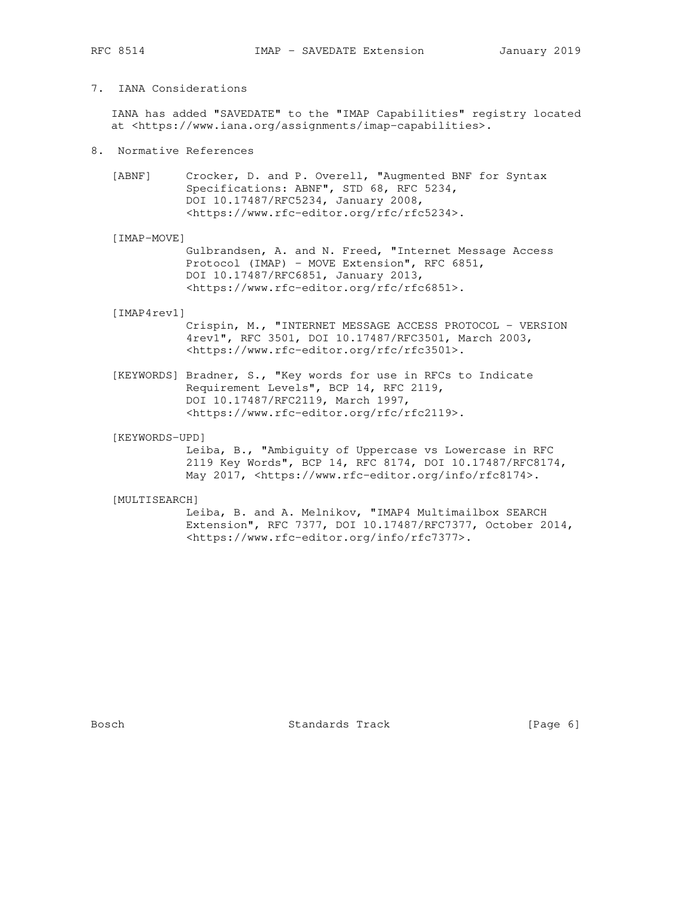# 7. IANA Considerations

 IANA has added "SAVEDATE" to the "IMAP Capabilities" registry located at <https://www.iana.org/assignments/imap-capabilities>.

- 8. Normative References
	- [ABNF] Crocker, D. and P. Overell, "Augmented BNF for Syntax Specifications: ABNF", STD 68, RFC 5234, DOI 10.17487/RFC5234, January 2008, <https://www.rfc-editor.org/rfc/rfc5234>.

[IMAP-MOVE]

 Gulbrandsen, A. and N. Freed, "Internet Message Access Protocol (IMAP) - MOVE Extension", RFC 6851, DOI 10.17487/RFC6851, January 2013, <https://www.rfc-editor.org/rfc/rfc6851>.

#### [IMAP4rev1]

 Crispin, M., "INTERNET MESSAGE ACCESS PROTOCOL - VERSION 4rev1", RFC 3501, DOI 10.17487/RFC3501, March 2003, <https://www.rfc-editor.org/rfc/rfc3501>.

 [KEYWORDS] Bradner, S., "Key words for use in RFCs to Indicate Requirement Levels", BCP 14, RFC 2119, DOI 10.17487/RFC2119, March 1997, <https://www.rfc-editor.org/rfc/rfc2119>.

#### [KEYWORDS-UPD]

 Leiba, B., "Ambiguity of Uppercase vs Lowercase in RFC 2119 Key Words", BCP 14, RFC 8174, DOI 10.17487/RFC8174, May 2017, <https://www.rfc-editor.org/info/rfc8174>.

### [MULTISEARCH]

 Leiba, B. and A. Melnikov, "IMAP4 Multimailbox SEARCH Extension", RFC 7377, DOI 10.17487/RFC7377, October 2014, <https://www.rfc-editor.org/info/rfc7377>.

Bosch Standards Track [Page 6]